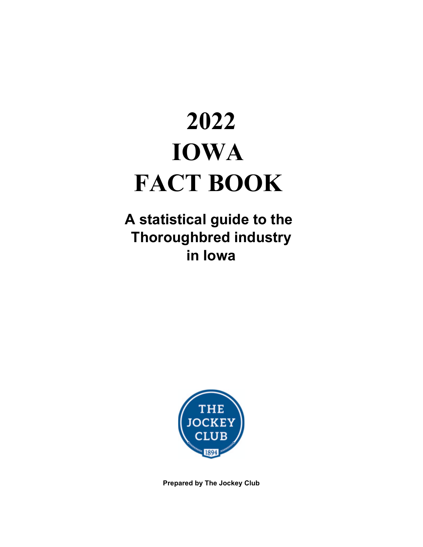# **2022 IOWA FACT BOOK**

**A statistical guide to the Thoroughbred industry in Iowa**



**Prepared by The Jockey Club**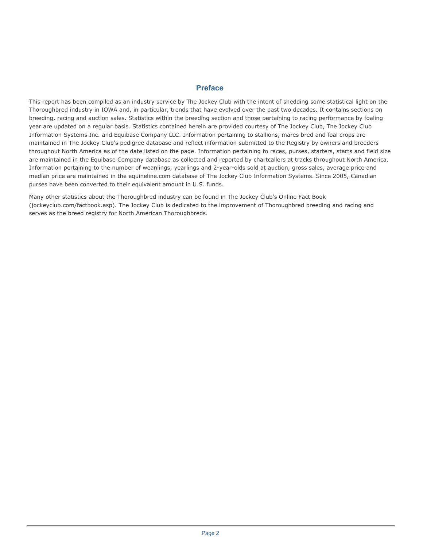### **Preface**

This report has been compiled as an industry service by The Jockey Club with the intent of shedding some statistical light on the Thoroughbred industry in IOWA and, in particular, trends that have evolved over the past two decades. It contains sections on breeding, racing and auction sales. Statistics within the breeding section and those pertaining to racing performance by foaling year are updated on a regular basis. Statistics contained herein are provided courtesy of The Jockey Club, The Jockey Club Information Systems Inc. and Equibase Company LLC. Information pertaining to stallions, mares bred and foal crops are maintained in The Jockey Club's pedigree database and reflect information submitted to the Registry by owners and breeders throughout North America as of the date listed on the page. Information pertaining to races, purses, starters, starts and field size are maintained in the Equibase Company database as collected and reported by chartcallers at tracks throughout North America. Information pertaining to the number of weanlings, yearlings and 2-year-olds sold at auction, gross sales, average price and median price are maintained in the equineline.com database of The Jockey Club Information Systems. Since 2005, Canadian purses have been converted to their equivalent amount in U.S. funds.

Many other statistics about the Thoroughbred industry can be found in The Jockey Club's Online Fact Book (jockeyclub.com/factbook.asp). The Jockey Club is dedicated to the improvement of Thoroughbred breeding and racing and serves as the breed registry for North American Thoroughbreds.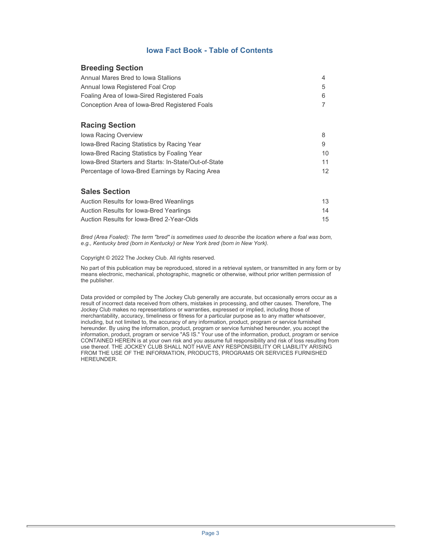### **Iowa Fact Book - Table of Contents**

### **Breeding Section**

| Annual Mares Bred to Iowa Stallions           | 4 |
|-----------------------------------------------|---|
| Annual Iowa Registered Foal Crop              | 5 |
| Foaling Area of Iowa-Sired Registered Foals   | 6 |
| Conception Area of Iowa-Bred Registered Foals |   |

### **Racing Section**

| lowa Racing Overview                                 |     |
|------------------------------------------------------|-----|
| lowa-Bred Racing Statistics by Racing Year           |     |
| lowa-Bred Racing Statistics by Foaling Year          | 10. |
| lowa-Bred Starters and Starts: In-State/Out-of-State | 11  |
| Percentage of Iowa-Bred Earnings by Racing Area      | 12  |

### **Sales Section**

| Auction Results for Iowa-Bred Weanlings   | 13              |
|-------------------------------------------|-----------------|
| Auction Results for Iowa-Bred Yearlings   | 14              |
| Auction Results for Iowa-Bred 2-Year-Olds | 15 <sup>1</sup> |

*Bred (Area Foaled): The term "bred" is sometimes used to describe the location where a foal was born, e.g., Kentucky bred (born in Kentucky) or New York bred (born in New York).* 

Copyright © 2022 The Jockey Club. All rights reserved.

No part of this publication may be reproduced, stored in a retrieval system, or transmitted in any form or by means electronic, mechanical, photographic, magnetic or otherwise, without prior written permission of the publisher.

Data provided or compiled by The Jockey Club generally are accurate, but occasionally errors occur as a result of incorrect data received from others, mistakes in processing, and other causes. Therefore, The Jockey Club makes no representations or warranties, expressed or implied, including those of merchantability, accuracy, timeliness or fitness for a particular purpose as to any matter whatsoever, including, but not limited to, the accuracy of any information, product, program or service furnished hereunder. By using the information, product, program or service furnished hereunder, you accept the information, product, program or service "AS IS." Your use of the information, product, program or service CONTAINED HEREIN is at your own risk and you assume full responsibility and risk of loss resulting from use thereof. THE JOCKEY CLUB SHALL NOT HAVE ANY RESPONSIBILITY OR LIABILITY ARISING FROM THE USE OF THE INFORMATION, PRODUCTS, PROGRAMS OR SERVICES FURNISHED HEREUNDER.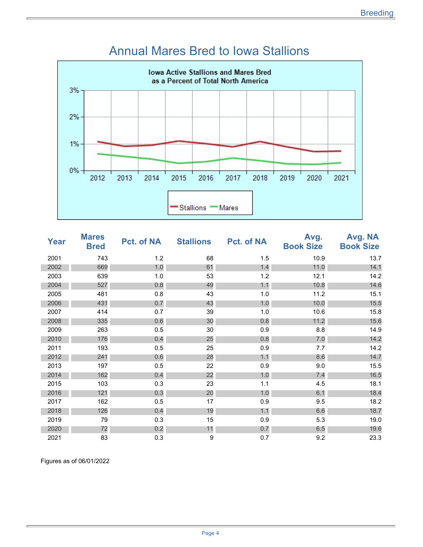

### Annual Mares Bred to Iowa Stallions

| Year | <b>Mares</b><br><b>Bred</b> | Pct. of NA | <b>Stallions</b> | <b>Pct. of NA</b> | Avg.<br><b>Book Size</b> | Avg. NA<br><b>Book Size</b> |
|------|-----------------------------|------------|------------------|-------------------|--------------------------|-----------------------------|
| 2001 | 743                         | 1.2        | 68               | 1.5               | 10.9                     | 13.7                        |
| 2002 | 669                         | 1.0        | 61               | 1.4               | 11.0                     | 14.1                        |
| 2003 | 639                         | 1.0        | 53               | 1.2               | 12.1                     | 14.2                        |
| 2004 | 527                         | 0.8        | 49               | 1.1               | 10.8                     | 14.6                        |
| 2005 | 481                         | 0.8        | 43               | 1.0               | 11.2                     | 15.1                        |
| 2006 | 431                         | 0.7        | 43               | 1.0               | 10.0                     | 15.5                        |
| 2007 | 414                         | 0.7        | 39               | 1.0               | 10.6                     | 15.8                        |
| 2008 | 335                         | 0.6        | 30               | 0.8               | 11.2                     | 15.6                        |
| 2009 | 263                         | 0.5        | 30               | 0.9               | 8.8                      | 14.9                        |
| 2010 | 176                         | 0.4        | 25               | 0.8               | 7.0                      | 14.2                        |
| 2011 | 193                         | 0.5        | 25               | 0.9               | 7.7                      | 14.2                        |
| 2012 | 241                         | 0.6        | 28               | 1.1               | 8.6                      | 14.7                        |
| 2013 | 197                         | 0.5        | 22               | 0.9               | 9.0                      | 15.5                        |
| 2014 | 162                         | 0.4        | 22               | 1.0               | 7.4                      | 16.5                        |
| 2015 | 103                         | 0.3        | 23               | 1.1               | 4.5                      | 18.1                        |
| 2016 | 121                         | 0.3        | 20               | 1.0               | 6.1                      | 18.4                        |
| 2017 | 162                         | 0.5        | 17               | 0.9               | 9.5                      | 18.2                        |
| 2018 | 126                         | 0.4        | 19               | 1.1               | 6.6                      | 18.7                        |
| 2019 | 79                          | 0.3        | 15               | 0.9               | 5.3                      | 19.0                        |
| 2020 | 72                          | 0.2        | 11               | 0.7               | 6.5                      | 19.6                        |
| 2021 | 83                          | 0.3        | 9                | 0.7               | 9.2                      | 23.3                        |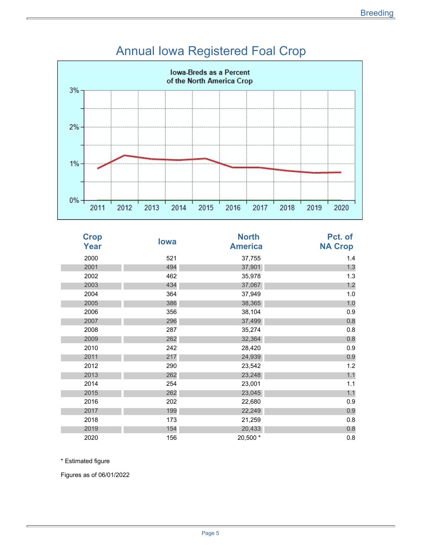

## Annual Iowa Registered Foal Crop

| <b>Crop</b><br><b>Year</b> | lowa | <b>North</b><br><b>America</b> | Pct. of<br><b>NA Crop</b> |
|----------------------------|------|--------------------------------|---------------------------|
| 2000                       | 521  | 37,755                         | 1.4                       |
| 2001                       | 494  | 37,901                         | 1.3                       |
| 2002                       | 462  | 35,978                         | 1.3                       |
| 2003                       | 434  | 37,067                         | 1.2                       |
| 2004                       | 364  | 37,949                         | 1.0                       |
| 2005                       | 386  | 38,365                         | 1.0                       |
| 2006                       | 356  | 38,104                         | 0.9                       |
| 2007                       | 296  | 37,499                         | 0.8                       |
| 2008                       | 287  | 35,274                         | 0.8                       |
| 2009                       | 262  | 32,364                         | 0.8                       |
| 2010                       | 242  | 28,420                         | 0.9                       |
| 2011                       | 217  | 24,939                         | 0.9                       |
| 2012                       | 290  | 23,542                         | 1.2                       |
| 2013                       | 262  | 23,248                         | 1.1                       |
| 2014                       | 254  | 23,001                         | 1.1                       |
| 2015                       | 262  | 23,045                         | 1.1                       |
| 2016                       | 202  | 22,680                         | 0.9                       |
| 2017                       | 199  | 22,249                         | 0.9                       |
| 2018                       | 173  | 21,259                         | 0.8                       |
| 2019                       | 154  | 20,433                         | 0.8                       |
| 2020                       | 156  | 20,500 *                       | 0.8                       |

\* Estimated figure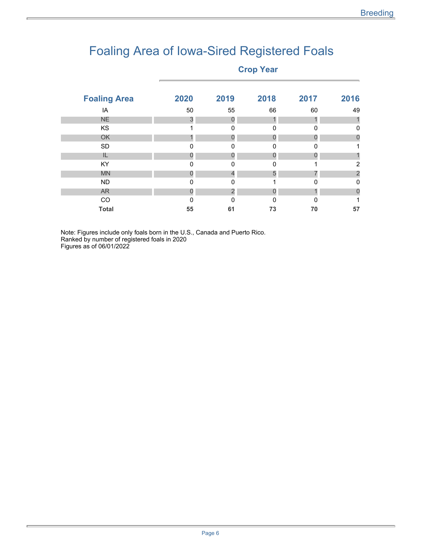## Foaling Area of Iowa-Sired Registered Foals

### **Crop Year**

| <b>Foaling Area</b> | 2020     | 2019        | 2018     | 2017         | 2016 |
|---------------------|----------|-------------|----------|--------------|------|
| IA                  | 50       | 55          | 66       | 60           | 49   |
| <b>NE</b>           | 3        | 0           |          |              |      |
| KS                  |          | $\Omega$    | $\Omega$ | $\Omega$     | 0    |
| OK                  |          | 0           |          | $\mathbf{I}$ | 0    |
| <b>SD</b>           | 0        | 0           | O        | 0            |      |
| IL                  | $\Omega$ | O           |          |              |      |
| <b>KY</b>           | $\Omega$ | 0           | 0        |              | 2    |
| <b>MN</b>           | O        |             | 5        |              |      |
| <b>ND</b>           | $\Omega$ | $\mathbf 0$ |          | $\Omega$     | 0    |
| <b>AR</b>           | 0        | 2           |          |              | 0    |
| CO                  | $\Omega$ | $\Omega$    | $\Omega$ | ∩            |      |
| <b>Total</b>        | 55       | 61          | 73       | 70           | 57   |
|                     |          |             |          |              |      |

Note: Figures include only foals born in the U.S., Canada and Puerto Rico. Ranked by number of registered foals in 2020 Figures as of 06/01/2022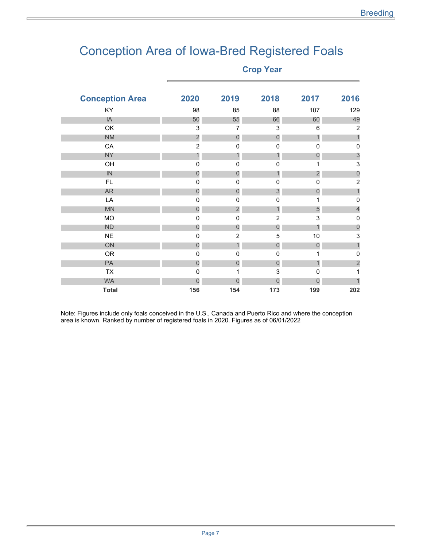## Conception Area of Iowa-Bred Registered Foals

**Crop Year** 

| 2020           | 2019                    | 2018           | 2017             | 2016                      |
|----------------|-------------------------|----------------|------------------|---------------------------|
| 98             | 85                      | 88             | 107              | 129                       |
| 50             | 55                      | 66             | 60               | 49                        |
| 3              | $\overline{7}$          | 3              | 6                | $\overline{2}$            |
|                | $\overline{0}$          | $\theta$       | $\mathbf{1}$     | 1                         |
| $\overline{c}$ | 0                       | 0              | $\Omega$         | 0                         |
| $\mathbf{1}$   | 1                       | 1              | $\overline{0}$   | $\mathcal{S}$             |
| 0              | 0                       | 0              |                  | $\ensuremath{\mathsf{3}}$ |
| 0              | $\theta$                | 1              | $\overline{c}$   | $\theta$                  |
| $\mathbf 0$    | $\mathbf 0$             | 0              | 0                | $\overline{2}$            |
| $\mathbf{0}$   | $\mathbf 0$             | $\mathfrak{S}$ | 0                |                           |
| $\mathbf 0$    | 0                       | $\mathbf 0$    |                  | $\mathbf 0$               |
| $\mathbf{0}$   | $\overline{\mathbf{c}}$ | 1              | 5                | $\overline{4}$            |
| 0              | $\mathbf 0$             | $\overline{2}$ | 3                | $\mathbf 0$               |
| $\overline{0}$ | $\overline{0}$          | $\overline{0}$ |                  | $\mathbf 0$               |
| 0              | $\overline{2}$          | 5              | $10$             | 3                         |
| $\overline{0}$ | 1                       | $\overline{0}$ | $\overline{0}$   | 1                         |
| 0              | $\mathbf 0$             | 0              |                  | $\mathbf 0$               |
| 0              | $\boldsymbol{0}$        | $\theta$       |                  | $\overline{c}$            |
| 0              | 1                       | 3              | $\Omega$         | 1                         |
| 0              | 0                       | 0              | $\boldsymbol{0}$ |                           |
| 156            | 154                     | 173            | 199              | 202                       |
|                | $\overline{\mathbf{c}}$ |                |                  |                           |

Note: Figures include only foals conceived in the U.S., Canada and Puerto Rico and where the conception area is known. Ranked by number of registered foals in 2020. Figures as of 06/01/2022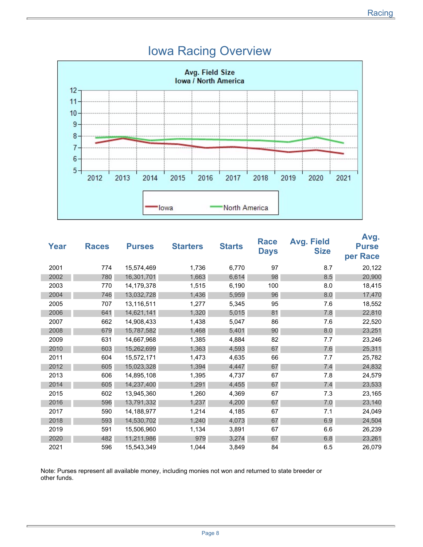

### Iowa Racing Overview

| Year | <b>Races</b> | <b>Purses</b> | <b>Starters</b> | <b>Starts</b> | Race<br><b>Days</b> | <b>Avg. Field</b><br><b>Size</b> | Avg.<br><b>Purse</b><br>per Race |
|------|--------------|---------------|-----------------|---------------|---------------------|----------------------------------|----------------------------------|
| 2001 | 774          | 15,574,469    | 1,736           | 6,770         | 97                  | 8.7                              | 20,122                           |
| 2002 | 780          | 16,301,701    | 1,663           | 6,614         | 98                  | 8.5                              | 20,900                           |
| 2003 | 770          | 14,179,378    | 1,515           | 6,190         | 100                 | 8.0                              | 18,415                           |
| 2004 | 746          | 13,032,728    | 1,436           | 5,959         | 96                  | 8.0                              | 17,470                           |
| 2005 | 707          | 13,116,511    | 1,277           | 5,345         | 95                  | 7.6                              | 18,552                           |
| 2006 | 641          | 14,621,141    | 1,320           | 5,015         | 81                  | 7.8                              | 22,810                           |
| 2007 | 662          | 14,908,433    | 1,438           | 5,047         | 86                  | 7.6                              | 22,520                           |
| 2008 | 679          | 15,787,582    | 1,468           | 5,401         | 90                  | 8.0                              | 23,251                           |
| 2009 | 631          | 14,667,968    | 1,385           | 4,884         | 82                  | 7.7                              | 23,246                           |
| 2010 | 603          | 15,262,699    | 1,363           | 4,593         | 67                  | 7.6                              | 25,311                           |
| 2011 | 604          | 15,572,171    | 1,473           | 4,635         | 66                  | 7.7                              | 25,782                           |
| 2012 | 605          | 15,023,328    | 1,394           | 4,447         | 67                  | 7.4                              | 24,832                           |
| 2013 | 606          | 14,895,108    | 1,395           | 4,737         | 67                  | 7.8                              | 24,579                           |
| 2014 | 605          | 14,237,400    | 1,291           | 4,455         | 67                  | 7.4                              | 23,533                           |
| 2015 | 602          | 13,945,360    | 1,260           | 4,369         | 67                  | 7.3                              | 23,165                           |
| 2016 | 596          | 13,791,332    | 1,237           | 4,200         | 67                  | 7.0                              | 23,140                           |
| 2017 | 590          | 14,188,977    | 1,214           | 4,185         | 67                  | 7.1                              | 24,049                           |
| 2018 | 593          | 14,530,702    | 1,240           | 4,073         | 67                  | 6.9                              | 24,504                           |
| 2019 | 591          | 15,506,960    | 1,134           | 3,891         | 67                  | 6.6                              | 26,239                           |
| 2020 | 482          | 11,211,986    | 979             | 3,274         | 67                  | 6.8                              | 23,261                           |
| 2021 | 596          | 15,543,349    | 1,044           | 3,849         | 84                  | 6.5                              | 26,079                           |

Note: Purses represent all available money, including monies not won and returned to state breeder or other funds.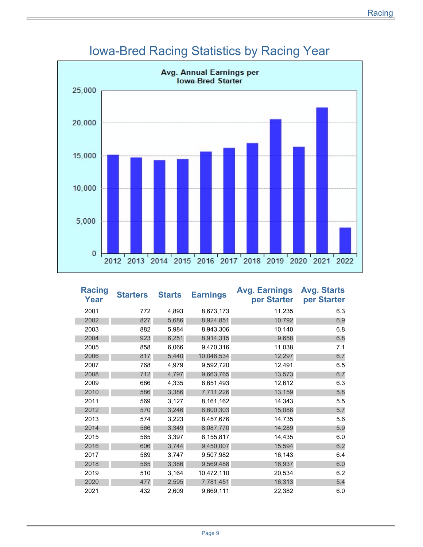

## Iowa-Bred Racing Statistics by Racing Year

| <b>Racing</b><br>Year | <b>Starters</b> | <b>Starts</b> | <b>Earnings</b> | <b>Avg. Earnings</b><br>per Starter | <b>Avg. Starts</b><br>per Starter |
|-----------------------|-----------------|---------------|-----------------|-------------------------------------|-----------------------------------|
| 2001                  | 772             | 4,893         | 8,673,173       | 11,235                              | 6.3                               |
| 2002                  | 827             | 5,686         | 8,924,851       | 10,792                              | 6.9                               |
| 2003                  | 882             | 5,984         | 8,943,306       | 10,140                              | 6.8                               |
| 2004                  | 923             | 6,251         | 8,914,315       | 9,658                               | 6.8                               |
| 2005                  | 858             | 6,066         | 9,470,316       | 11,038                              | 7.1                               |
| 2006                  | 817             | 5,440         | 10,046,534      | 12,297                              | 6.7                               |
| 2007                  | 768             | 4,979         | 9,592,720       | 12,491                              | 6.5                               |
| 2008                  | 712             | 4,797         | 9,663,765       | 13,573                              | 6.7                               |
| 2009                  | 686             | 4,335         | 8,651,493       | 12,612                              | 6.3                               |
| 2010                  | 586             | 3,386         | 7,711,226       | 13,159                              | 5.8                               |
| 2011                  | 569             | 3,127         | 8,161,162       | 14,343                              | 5.5                               |
| 2012                  | 570             | 3,246         | 8,600,303       | 15,088                              | 5.7                               |
| 2013                  | 574             | 3,223         | 8,457,676       | 14,735                              | 5.6                               |
| 2014                  | 566             | 3,349         | 8,087,770       | 14,289                              | 5.9                               |
| 2015                  | 565             | 3,397         | 8,155,817       | 14,435                              | 6.0                               |
| 2016                  | 606             | 3,744         | 9,450,007       | 15,594                              | 6.2                               |
| 2017                  | 589             | 3,747         | 9,507,982       | 16,143                              | 6.4                               |
| 2018                  | 565             | 3,386         | 9,569,488       | 16,937                              | 6.0                               |
| 2019                  | 510             | 3,164         | 10,472,110      | 20,534                              | 6.2                               |
| 2020                  | 477             | 2,595         | 7,781,451       | 16,313                              | 5.4                               |
| 2021                  | 432             | 2,609         | 9,669,111       | 22,382                              | 6.0                               |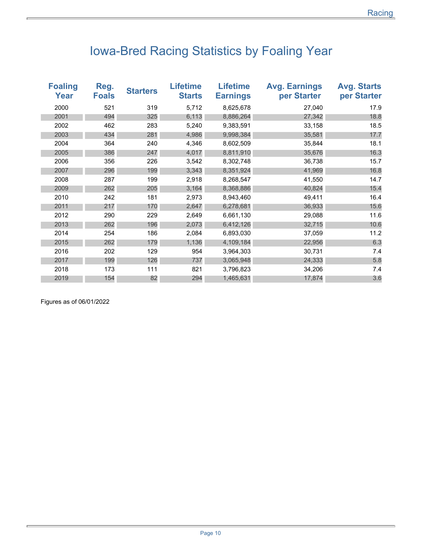## Iowa-Bred Racing Statistics by Foaling Year

| <b>Foaling</b><br>Year | Reg.<br><b>Foals</b> | <b>Starters</b> | <b>Lifetime</b><br><b>Starts</b> | <b>Lifetime</b><br><b>Earnings</b> | <b>Avg. Earnings</b><br>per Starter | <b>Avg. Starts</b><br>per Starter |
|------------------------|----------------------|-----------------|----------------------------------|------------------------------------|-------------------------------------|-----------------------------------|
| 2000                   | 521                  | 319             | 5,712                            | 8,625,678                          | 27,040                              | 17.9                              |
| 2001                   | 494                  | 325             | 6,113                            | 8,886,264                          | 27,342                              | 18.8                              |
| 2002                   | 462                  | 283             | 5,240                            | 9,383,591                          | 33,158                              | 18.5                              |
| 2003                   | 434                  | 281             | 4,986                            | 9,998,384                          | 35,581                              | 17.7                              |
| 2004                   | 364                  | 240             | 4,346                            | 8,602,509                          | 35,844                              | 18.1                              |
| 2005                   | 386                  | 247             | 4,017                            | 8,811,910                          | 35,676                              | 16.3                              |
| 2006                   | 356                  | 226             | 3,542                            | 8,302,748                          | 36,738                              | 15.7                              |
| 2007                   | 296                  | 199             | 3,343                            | 8,351,924                          | 41,969                              | 16.8                              |
| 2008                   | 287                  | 199             | 2,918                            | 8,268,547                          | 41,550                              | 14.7                              |
| 2009                   | 262                  | 205             | 3,164                            | 8,368,886                          | 40,824                              | 15.4                              |
| 2010                   | 242                  | 181             | 2,973                            | 8,943,460                          | 49,411                              | 16.4                              |
| 2011                   | 217                  | 170             | 2,647                            | 6,278,681                          | 36,933                              | 15.6                              |
| 2012                   | 290                  | 229             | 2,649                            | 6,661,130                          | 29,088                              | 11.6                              |
| 2013                   | 262                  | 196             | 2,073                            | 6,412,126                          | 32,715                              | 10.6                              |
| 2014                   | 254                  | 186             | 2,084                            | 6,893,030                          | 37,059                              | 11.2                              |
| 2015                   | 262                  | 179             | 1,136                            | 4,109,184                          | 22,956                              | 6.3                               |
| 2016                   | 202                  | 129             | 954                              | 3,964,303                          | 30,731                              | 7.4                               |
| 2017                   | 199                  | 126             | 737                              | 3,065,948                          | 24,333                              | 5.8                               |
| 2018                   | 173                  | 111             | 821                              | 3,796,823                          | 34,206                              | 7.4                               |
| 2019                   | 154                  | 82              | 294                              | 1,465,631                          | 17,874                              | 3.6                               |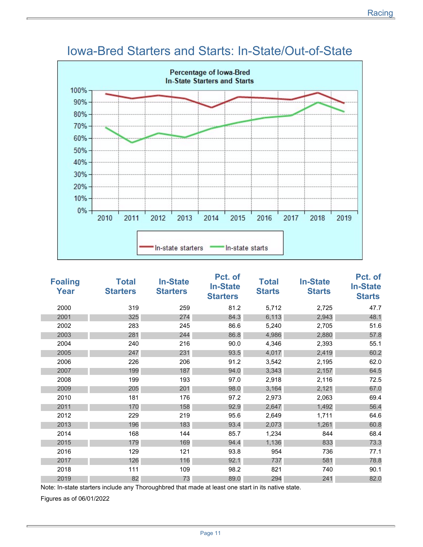

### Iowa-Bred Starters and Starts: In-State/Out-of-State

| <b>Foaling</b><br>Year | <b>Total</b><br><b>Starters</b> | <b>In-State</b><br><b>Starters</b> | Pct. of<br><b>In-State</b><br><b>Starters</b> | <b>Total</b><br><b>Starts</b> | <b>In-State</b><br><b>Starts</b> | Pct. of<br><b>In-State</b><br><b>Starts</b> |
|------------------------|---------------------------------|------------------------------------|-----------------------------------------------|-------------------------------|----------------------------------|---------------------------------------------|
| 2000                   | 319                             | 259                                | 81.2                                          | 5,712                         | 2,725                            | 47.7                                        |
| 2001                   | 325                             | 274                                | 84.3                                          | 6,113                         | 2,943                            | 48.1                                        |
| 2002                   | 283                             | 245                                | 86.6                                          | 5,240                         | 2,705                            | 51.6                                        |
| 2003                   | 281                             | 244                                | 86.8                                          | 4,986                         | 2,880                            | 57.8                                        |
| 2004                   | 240                             | 216                                | 90.0                                          | 4,346                         | 2,393                            | 55.1                                        |
| 2005                   | 247                             | 231                                | 93.5                                          | 4,017                         | 2,419                            | 60.2                                        |
| 2006                   | 226                             | 206                                | 91.2                                          | 3,542                         | 2,195                            | 62.0                                        |
| 2007                   | 199                             | 187                                | 94.0                                          | 3,343                         | 2,157                            | 64.5                                        |
| 2008                   | 199                             | 193                                | 97.0                                          | 2,918                         | 2,116                            | 72.5                                        |
| 2009                   | 205                             | 201                                | 98.0                                          | 3,164                         | 2,121                            | 67.0                                        |
| 2010                   | 181                             | 176                                | 97.2                                          | 2,973                         | 2,063                            | 69.4                                        |
| 2011                   | 170                             | 158                                | 92.9                                          | 2,647                         | 1,492                            | 56.4                                        |
| 2012                   | 229                             | 219                                | 95.6                                          | 2,649                         | 1,711                            | 64.6                                        |
| 2013                   | 196                             | 183                                | 93.4                                          | 2,073                         | 1,261                            | 60.8                                        |
| 2014                   | 168                             | 144                                | 85.7                                          | 1,234                         | 844                              | 68.4                                        |
| 2015                   | 179                             | 169                                | 94.4                                          | 1,136                         | 833                              | 73.3                                        |
| 2016                   | 129                             | 121                                | 93.8                                          | 954                           | 736                              | 77.1                                        |
| 2017                   | 126                             | 116                                | 92.1                                          | 737                           | 581                              | 78.8                                        |
| 2018                   | 111                             | 109                                | 98.2                                          | 821                           | 740                              | 90.1                                        |
| 2019                   | 82                              | 73                                 | 89.0                                          | 294                           | 241                              | 82.0                                        |

Note: In-state starters include any Thoroughbred that made at least one start in its native state.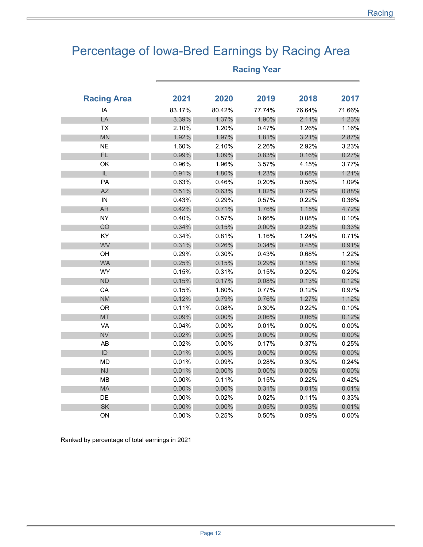## Percentage of Iowa-Bred Earnings by Racing Area

| <b>Racing Area</b> | 2021     | 2020     | 2019   | 2018     | 2017     |
|--------------------|----------|----------|--------|----------|----------|
| IA                 | 83.17%   | 80.42%   | 77.74% | 76.64%   | 71.66%   |
| LA                 | 3.39%    | 1.37%    | 1.90%  | 2.11%    | 1.23%    |
| <b>TX</b>          | 2.10%    | 1.20%    | 0.47%  | 1.26%    | 1.16%    |
| <b>MN</b>          | 1.92%    | 1.97%    | 1.81%  | 3.21%    | 2.87%    |
| <b>NE</b>          | 1.60%    | 2.10%    | 2.26%  | 2.92%    | 3.23%    |
| FL                 | 0.99%    | 1.09%    | 0.83%  | 0.16%    | 0.27%    |
| OK                 | 0.96%    | 1.96%    | 3.57%  | 4.15%    | 3.77%    |
| IL                 | 0.91%    | 1.80%    | 1.23%  | 0.68%    | 1.21%    |
| PA                 | 0.63%    | 0.46%    | 0.20%  | 0.56%    | 1.09%    |
| <b>AZ</b>          | 0.51%    | 0.63%    | 1.02%  | 0.79%    | 0.88%    |
| IN                 | 0.43%    | 0.29%    | 0.57%  | 0.22%    | 0.36%    |
| <b>AR</b>          | 0.42%    | 0.71%    | 1.76%  | 1.15%    | 4.72%    |
| <b>NY</b>          | 0.40%    | 0.57%    | 0.66%  | 0.08%    | 0.10%    |
| CO                 | 0.34%    | 0.15%    | 0.00%  | 0.23%    | 0.33%    |
| KY                 | 0.34%    | 0.81%    | 1.16%  | 1.24%    | 0.71%    |
| WV                 | 0.31%    | 0.26%    | 0.34%  | 0.45%    | 0.91%    |
| OH                 | 0.29%    | 0.30%    | 0.43%  | 0.68%    | 1.22%    |
| <b>WA</b>          | 0.25%    | 0.15%    | 0.29%  | 0.15%    | 0.15%    |
| <b>WY</b>          | 0.15%    | 0.31%    | 0.15%  | 0.20%    | 0.29%    |
| <b>ND</b>          | 0.15%    | 0.17%    | 0.08%  | 0.13%    | 0.12%    |
| CA                 | 0.15%    | 1.80%    | 0.77%  | 0.12%    | 0.97%    |
| <b>NM</b>          | 0.12%    | 0.79%    | 0.76%  | 1.27%    | 1.12%    |
| <b>OR</b>          | 0.11%    | 0.08%    | 0.30%  | 0.22%    | 0.10%    |
| <b>MT</b>          | 0.09%    | $0.00\%$ | 0.06%  | 0.06%    | 0.12%    |
| VA                 | 0.04%    | 0.00%    | 0.01%  | 0.00%    | 0.00%    |
| <b>NV</b>          | 0.02%    | $0.00\%$ | 0.00%  | 0.00%    | $0.00\%$ |
| AB                 | 0.02%    | 0.00%    | 0.17%  | 0.37%    | 0.25%    |
| $\mathsf{ID}$      | 0.01%    | $0.00\%$ | 0.00%  | $0.00\%$ | 0.00%    |
| <b>MD</b>          | 0.01%    | 0.09%    | 0.28%  | 0.30%    | 0.24%    |
| NJ                 | 0.01%    | $0.00\%$ | 0.00%  | $0.00\%$ | 0.00%    |
| <b>MB</b>          | 0.00%    | 0.11%    | 0.15%  | 0.22%    | 0.42%    |
| <b>MA</b>          | 0.00%    | $0.00\%$ | 0.31%  | 0.01%    | 0.01%    |
| DE                 | 0.00%    | 0.02%    | 0.02%  | 0.11%    | 0.33%    |
| <b>SK</b>          | $0.00\%$ | 0.00%    | 0.05%  | 0.03%    | 0.01%    |
| ON                 | $0.00\%$ | 0.25%    | 0.50%  | 0.09%    | 0.00%    |

### **Racing Year**

Ranked by percentage of total earnings in 2021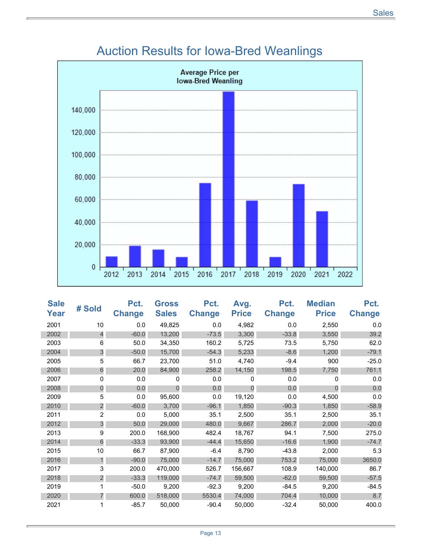

### Auction Results for Iowa-Bred Weanlings

| <b>Sale</b><br>Year | # Sold         | Pct.<br><b>Change</b> | <b>Gross</b><br><b>Sales</b> | Pct.<br><b>Change</b> | Avg.<br><b>Price</b> | Pct.<br><b>Change</b> | <b>Median</b><br><b>Price</b> | Pct.<br><b>Change</b> |
|---------------------|----------------|-----------------------|------------------------------|-----------------------|----------------------|-----------------------|-------------------------------|-----------------------|
| 2001                | 10             | 0.0                   | 49,825                       | 0.0                   | 4,982                | 0.0                   | 2,550                         | 0.0                   |
| 2002                | $\overline{4}$ | $-60.0$               | 13,200                       | $-73.5$               | 3,300                | $-33.8$               | 3,550                         | 39.2                  |
| 2003                | 6              | 50.0                  | 34,350                       | 160.2                 | 5,725                | 73.5                  | 5,750                         | 62.0                  |
| 2004                | 3              | $-50.0$               | 15,700                       | $-54.3$               | 5,233                | $-8.6$                | 1,200                         | $-79.1$               |
| 2005                | 5              | 66.7                  | 23,700                       | 51.0                  | 4,740                | $-9.4$                | 900                           | $-25.0$               |
| 2006                | 6              | 20.0                  | 84,900                       | 258.2                 | 14,150               | 198.5                 | 7,750                         | 761.1                 |
| 2007                | 0              | 0.0                   | 0                            | 0.0                   | 0                    | 0.0                   | $\Omega$                      | 0.0                   |
| 2008                | $\mathbf 0$    | 0.0                   | $\Omega$                     | 0.0                   | $\Omega$             | 0.0                   | $\Omega$                      | 0.0                   |
| 2009                | 5              | 0.0                   | 95,600                       | 0.0                   | 19,120               | 0.0                   | 4,500                         | 0.0                   |
| 2010                | $\overline{2}$ | $-60.0$               | 3,700                        | $-96.1$               | 1,850                | $-90.3$               | 1,850                         | $-58.9$               |
| 2011                | $\overline{2}$ | 0.0                   | 5,000                        | 35.1                  | 2,500                | 35.1                  | 2,500                         | 35.1                  |
| 2012                | 3              | 50.0                  | 29,000                       | 480.0                 | 9,667                | 286.7                 | 2,000                         | $-20.0$               |
| 2013                | 9              | 200.0                 | 168,900                      | 482.4                 | 18,767               | 94.1                  | 7,500                         | 275.0                 |
| 2014                | 6              | $-33.3$               | 93,900                       | $-44.4$               | 15,650               | $-16.6$               | 1,900                         | $-74.7$               |
| 2015                | 10             | 66.7                  | 87,900                       | $-6.4$                | 8,790                | $-43.8$               | 2,000                         | 5.3                   |
| 2016                | 1              | $-90.0$               | 75,000                       | $-14.7$               | 75,000               | 753.2                 | 75,000                        | 3650.0                |
| 2017                | 3              | 200.0                 | 470,000                      | 526.7                 | 156,667              | 108.9                 | 140,000                       | 86.7                  |
| 2018                | 2              | $-33.3$               | 119,000                      | $-74.7$               | 59,500               | $-62.0$               | 59,500                        | $-57.5$               |
| 2019                |                | $-50.0$               | 9,200                        | $-92.3$               | 9,200                | $-84.5$               | 9,200                         | $-84.5$               |
| 2020                | 7              | 600.0                 | 518,000                      | 5530.4                | 74,000               | 704.4                 | 10,000                        | 8.7                   |
| 2021                |                | $-85.7$               | 50,000                       | $-90.4$               | 50,000               | $-32.4$               | 50,000                        | 400.0                 |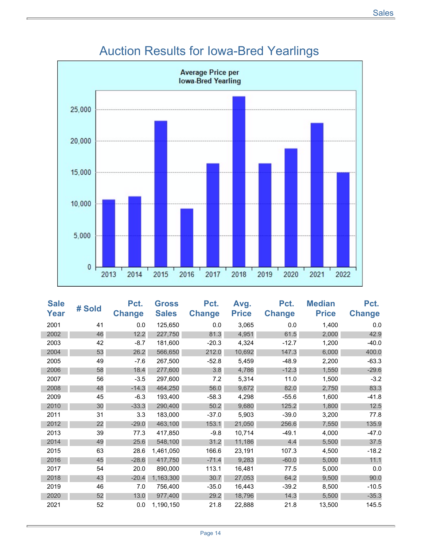

## Auction Results for Iowa-Bred Yearlings

| <b>Sale</b><br>Year | # Sold | Pct.<br><b>Change</b> | <b>Gross</b><br><b>Sales</b> | Pct.<br><b>Change</b> | Avg.<br><b>Price</b> | Pct.<br><b>Change</b> | <b>Median</b><br><b>Price</b> | Pct.<br><b>Change</b> |
|---------------------|--------|-----------------------|------------------------------|-----------------------|----------------------|-----------------------|-------------------------------|-----------------------|
| 2001                | 41     | 0.0                   | 125,650                      | 0.0                   | 3,065                | 0.0                   | 1,400                         | 0.0                   |
| 2002                | 46     | 12.2                  | 227,750                      | 81.3                  | 4,951                | 61.5                  | 2,000                         | 42.9                  |
| 2003                | 42     | $-8.7$                | 181,600                      | $-20.3$               | 4,324                | $-12.7$               | 1,200                         | $-40.0$               |
| 2004                | 53     | 26.2                  | 566,650                      | 212.0                 | 10,692               | 147.3                 | 6,000                         | 400.0                 |
| 2005                | 49     | $-7.6$                | 267,500                      | $-52.8$               | 5,459                | $-48.9$               | 2,200                         | $-63.3$               |
| 2006                | 58     | 18.4                  | 277,600                      | 3.8                   | 4,786                | $-12.3$               | 1,550                         | $-29.6$               |
| 2007                | 56     | $-3.5$                | 297,600                      | 7.2                   | 5,314                | 11.0                  | 1,500                         | $-3.2$                |
| 2008                | 48     | $-14.3$               | 464,250                      | 56.0                  | 9,672                | 82.0                  | 2,750                         | 83.3                  |
| 2009                | 45     | $-6.3$                | 193,400                      | $-58.3$               | 4,298                | $-55.6$               | 1,600                         | $-41.8$               |
| 2010                | 30     | $-33.3$               | 290,400                      | 50.2                  | 9,680                | 125.2                 | 1,800                         | 12.5                  |
| 2011                | 31     | 3.3                   | 183,000                      | $-37.0$               | 5,903                | $-39.0$               | 3,200                         | 77.8                  |
| 2012                | 22     | $-29.0$               | 463,100                      | 153.1                 | 21,050               | 256.6                 | 7,550                         | 135.9                 |
| 2013                | 39     | 77.3                  | 417,850                      | $-9.8$                | 10,714               | $-49.1$               | 4,000                         | $-47.0$               |
| 2014                | 49     | 25.6                  | 548,100                      | 31.2                  | 11,186               | 4.4                   | 5,500                         | 37.5                  |
| 2015                | 63     | 28.6                  | 1,461,050                    | 166.6                 | 23,191               | 107.3                 | 4,500                         | $-18.2$               |
| 2016                | 45     | $-28.6$               | 417,750                      | $-71.4$               | 9,283                | $-60.0$               | 5,000                         | 11.1                  |
| 2017                | 54     | 20.0                  | 890,000                      | 113.1                 | 16,481               | 77.5                  | 5,000                         | 0.0                   |
| 2018                | 43     | $-20.4$               | 1,163,300                    | 30.7                  | 27,053               | 64.2                  | 9,500                         | 90.0                  |
| 2019                | 46     | 7.0                   | 756,400                      | $-35.0$               | 16,443               | $-39.2$               | 8,500                         | $-10.5$               |
| 2020                | 52     | 13.0                  | 977,400                      | 29.2                  | 18,796               | 14.3                  | 5,500                         | $-35.3$               |
| 2021                | 52     | 0.0                   | 1,190,150                    | 21.8                  | 22,888               | 21.8                  | 13,500                        | 145.5                 |